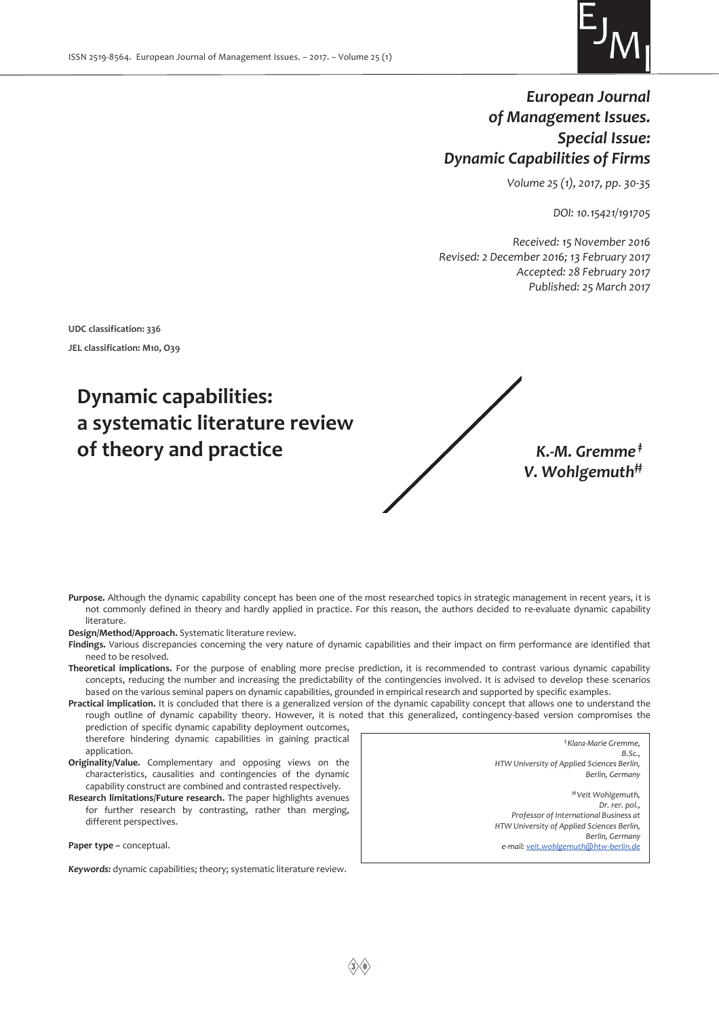

## *European Journal of Management Issues. Special Issue: Dynamic Capabilities of Firms*

*Volume 25 (1), 2017, pp. 30-35* 

*DOI: 10.15421/191705* 

*Received: 15 November 2016 Revised: 2 December 2016; 13 February 2017 Accepted: 28 February 2017 Published: 25 March 2017* 

**UDC classification: 336** 

**JEL classification: M10, O39** 

# **Dynamic capabilities: a systematic literature review of theory and practice** *K.-M. Gremme ‡*

*V. Wohlgemuth‡‡*

**Purpose.** Although the dynamic capability concept has been one of the most researched topics in strategic management in recent years, it is not commonly defined in theory and hardly applied in practice. For this reason, the authors decided to re-evaluate dynamic capability literature.

**Design/Method/Approach.** Systematic literature review.

- **Findings.** Various discrepancies concerning the very nature of dynamic capabilities and their impact on firm performance are identified that need to be resolved.
- **Theoretical implications.** For the purpose of enabling more precise prediction, it is recommended to contrast various dynamic capability concepts, reducing the number and increasing the predictability of the contingencies involved. It is advised to develop these scenarios based on the various seminal papers on dynamic capabilities, grounded in empirical research and supported by specific examples.
- **Practical implication.** It is concluded that there is a generalized version of the dynamic capability concept that allows one to understand the rough outline of dynamic capability theory. However, it is noted that this generalized, contingency-based version compromises the

prediction of specific dynamic capability deployment outcomes, therefore hindering dynamic capabilities in gaining practical application.

- **Originality/Value.** Complementary and opposing views on the characteristics, causalities and contingencies of the dynamic capability construct are combined and contrasted respectively.
- **Research limitations/Future research.** The paper highlights avenues for further research by contrasting, rather than merging, different perspectives.

**Paper type –** сonceptual.

*Keywords:* dynamic capabilities; theory; systematic literature review.

*‡ Klara-Marie Gremme, B.Sc., HTW University of Applied Sciences Berlin, Berlin, Germany ‡‡ Veit Wohlgemuth, Dr. rer. pol., Professor of International Business at HTW University of Applied Sciences Berlin, Berlin, Germany e-mail: veit.wohlgemuth@htw-berlin.de*

 $\langle 3 \rangle \langle 0 \rangle$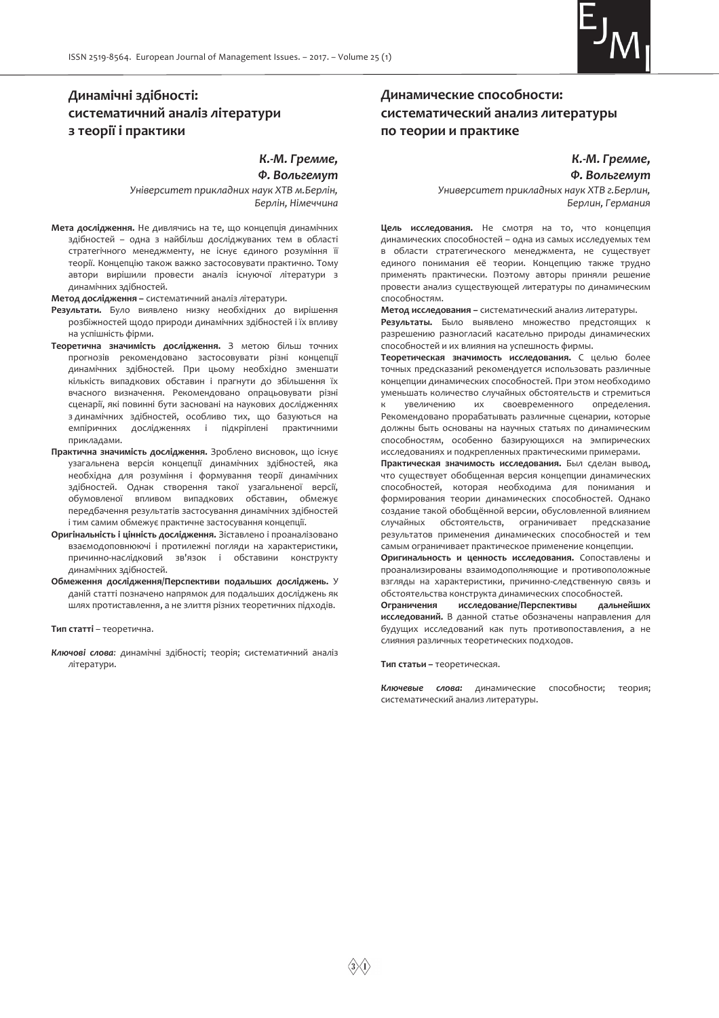

## **Динамічні здібності: систематичний аналіз літератури з теорії і практики**

*К.-М. Гремме,* 

*Ф. Вольгемут*

*Університет прикладних наук ХТВ м.Берлін, Берлін, Німеччина*

**Мета дослідження.** Не дивлячись на те, що концепція динамічних здібностей – одна з найбільш досліджуваних тем в області стратегічного менеджменту, не існує єдиного розуміння її теорії. Концепцію також важко застосовувати практично. Тому автори вирішили провести аналіз існуючої літератури з динамічних здібностей.

**Метод дослідження –** систематичний аналіз літератури.

- **Результати.** Було виявлено низку необхідних до вирішення розбіжностей щодо природи динамічних здібностей і їх впливу на успішність фірми.
- **Теоретична значимість дослідження.** З метою більш точних прогнозів рекомендовано застосовувати різні концепції динамічних здібностей. При цьому необхідно зменшати кількість випадкових обставин і прагнути до збільшення їх вчасного визначення. Рекомендовано опрацьовувати різні сценарії, які повинні бути засновані на наукових дослідженнях з динамічних здібностей, особливо тих, що базуються на емпіричних дослідженнях і підкріплені практичними прикладами.
- **Практична значимість дослідження.** Зроблено висновок, що існує узагальнена версія концепції динамічних здібностей, яка необхідна для розуміння і формування теорії динамічних здібностей. Однак створення такої узагальненої версії, обумовленої впливом випадкових обставин, обмежує передбачення результатів застосування динамічних здібностей і тим самим обмежує практичне застосування концепції.
- **Оригінальність і цінність дослідження.** Зіставлено і проаналізовано взаємодоповнюючі і протилежні погляди на характеристики, причинно-наслідковий зв'язок і обставини конструкту динамічних здібностей.
- **Обмеження дослідження/Перспективи подальших досліджень.** У даній статті позначено напрямок для подальших досліджень як шлях протиставлення, а не злиття різних теоретичних підходів.

**Тип статті** – теоретична.

*Ключові слова:* динамічні здібності; теорія; систематичний аналіз літератури.

## **Динамические способности: систематический анализ литературы по теории и практике**

*К.-М. Гремме, Ф. Вольгемут*

*Университет прикладных наук ХТВ г.Берлин, Берлин, Германия*

**Цель исследования.** Не смотря на то, что концепция динамических способностей – одна из самых исследуемых тем в области стратегического менеджмента, не существует единого понимания её теории. Концепцию также трудно применять практически. Поэтому авторы приняли решение провести анализ существующей литературы по динамическим способностям.

**Метод исследования –** систематический анализ литературы. **Результаты.** Было выявлено множество предстоящих к разрешению разногласий касательно природы динамических способностей и их влияния на успешность фирмы.

**Теоретическая значимость исследования.** С целью более точных предсказаний рекомендуется использовать различные концепции динамических способностей. При этом необходимо уменьшать количество случайных обстоятельств и стремиться к увеличению их своевременного определения. Рекомендовано прорабатывать различные сценарии, которые должны быть основаны на научных статьях по динамическим способностям, особенно базирующихся на эмпирических исследованиях и подкрепленных практическими примерами.

**Практическая значимость исследования.** Был сделан вывод, что существует обобщенная версия концепции динамических способностей, которая необходима для понимания и формирования теории динамических способностей. Однако создание такой обобщённой версии, обусловленной влиянием случайных обстоятельств, ограничивает предсказание результатов применения динамических способностей и тем самым ограничивает практическое применение концепции.

**Оригинальность и ценность исследования.** Сопоставлены и проанализированы взаимодополняющие и противоположные взгляды на характеристики, причинно-следственную связь и обстоятельства конструкта динамических способностей.<br>**Ограничения исследование/Перспективы дальнейших** 

Ограничения исследование/Перспективы **исследований.** В данной статье обозначены направления для будущих исследований как путь противопоставления, а не слияния различных теоретических подходов.

**Тип статьи –** теоретическая.

*Ключевые слова:* динамические способности; теория; систематический анализ литературы.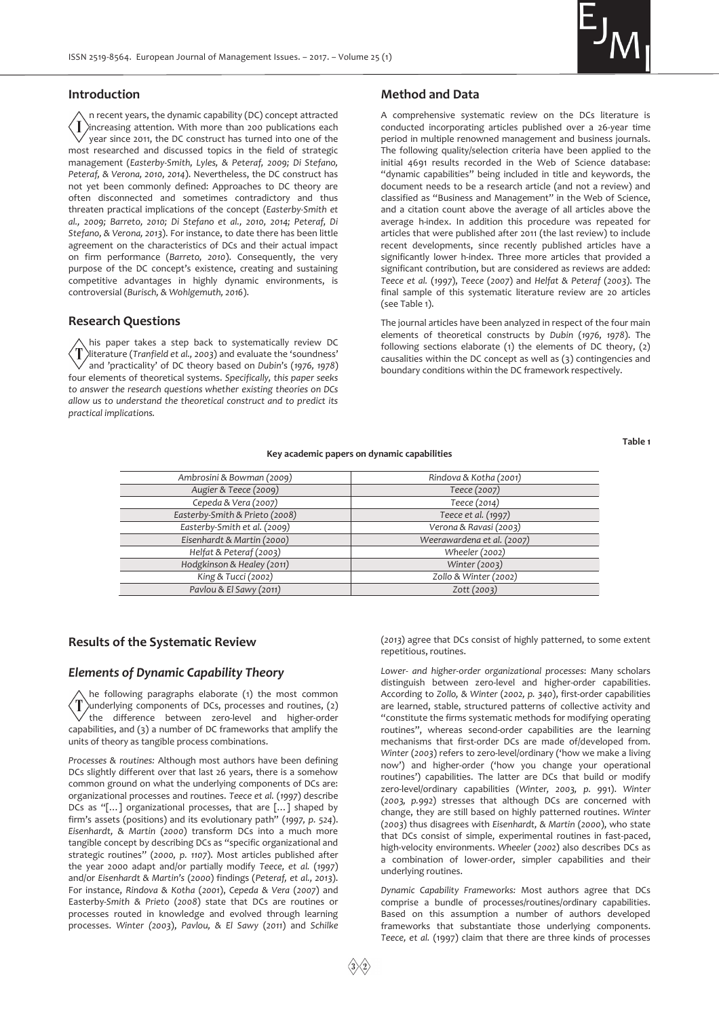

#### **Introduction**

n recent years, the dynamic capability (DC) concept attracted  $\langle \, \mathsf{I} \, \rangle$ increasing attention. With more than 200 publications each year since 2011, the DC construct has turned into one of the most researched and discussed topics in the field of strategic management (*Easterby-Smith, Lyles, & Peteraf, 2009; Di Stefano, Peteraf, & Verona, 2010, 2014*). Nevertheless, the DC construct has not yet been commonly defined: Approaches to DC theory are often disconnected and sometimes contradictory and thus threaten practical implications of the concept (*Easterby-Smith et al., 2009; Barreto, 2010; Di Stefano et al., 2010, 2014; Peteraf, Di Stefano, & Verona, 2013*). For instance, to date there has been little agreement on the characteristics of DCs and their actual impact on firm performance (*Barreto, 2010*). Consequently, the very purpose of the DC concept's existence, creating and sustaining competitive advantages in highly dynamic environments, is controversial (*Burisch, & Wohlgemuth, 2016*).

#### **Research Questions**

his paper takes a step back to systematically review DC ′T literature (*Tranfield et al., 2003*) and evaluate the 'soundness' and 'practicality' of DC theory based on *Dubin*'s (*1976, 1978*) four elements of theoretical systems. *Specifically, this paper seeks to answer the research questions whether existing theories on DCs allow us to understand the theoretical construct and to predict its practical implications.*

#### **Method and Data**

A comprehensive systematic review on the DCs literature is conducted incorporating articles published over a 26-year time period in multiple renowned management and business journals. The following quality/selection criteria have been applied to the initial 4691 results recorded in the Web of Science database: "dynamic capabilities" being included in title and keywords, the document needs to be a research article (and not a review) and classified as "Business and Management" in the Web of Science, and a citation count above the average of all articles above the average h-index. In addition this procedure was repeated for articles that were published after 2011 (the last review) to include recent developments, since recently published articles have a significantly lower h-index. Three more articles that provided a significant contribution, but are considered as reviews are added: *Teece et al.* (*1997*), *Teece* (*2007*) and *Helfat & Peteraf* (*2003*). The final sample of this systematic literature review are 20 articles (see Table 1).

The journal articles have been analyzed in respect of the four main elements of theoretical constructs by *Dubin* (*1976, 1978*). The following sections elaborate (1) the elements of DC theory, (2) causalities within the DC concept as well as (3) contingencies and boundary conditions within the DC framework respectively.

#### **Table 1**

#### **Key academic papers on dynamic capabilities**

| Ambrosini & Bowman (2009)      | Rindova & Kotha (2001)     |
|--------------------------------|----------------------------|
| Augier & Teece (2009)          | Teece (2007)               |
| Cepeda & Vera (2007)           | Teece (2014)               |
| Easterby-Smith & Prieto (2008) | Teece et al. (1997)        |
| Easterby-Smith et al. (2009)   | Verona & Ravasi (2003)     |
| Eisenhardt & Martin (2000)     | Weerawardena et al. (2007) |
| Helfat & Peteraf (2003)        | Wheeler (2002)             |
| Hodgkinson & Healey (2011)     | Winter (2003)              |
| King & Tucci (2002)            | Zollo & Winter (2002)      |
| Pavlou & El Sawy (2011)        | Zott (2003)                |
|                                |                            |

#### **Results of the Systematic Review**

#### *Elements of Dynamic Capability Theory*

he following paragraphs elaborate (1) the most common T underlying components of DCs, processes and routines, (2) the difference between zero-level and higher-order capabilities, and (3) a number of DC frameworks that amplify the units of theory as tangible process combinations.

*Processes & routines:* Although most authors have been defining DCs slightly different over that last 26 years, there is a somehow common ground on what the underlying components of DCs are: organizational processes and routines. *Teece et al.* (*1997*) describe DCs as "[…] organizational processes, that are […] shaped by firm's assets (positions) and its evolutionary path" (*1997, p. 524*). *Eisenhardt, & Martin* (*2000*) transform DCs into a much more tangible concept by describing DCs as "specific organizational and strategic routines" (*2000, p. 1107*). Most articles published after the year 2000 adapt and/or partially modify *Teece, et al.* (*1997*) and/or *Eisenhardt & Martin's* (*2000*) findings (*Peteraf, et al., 2013*). For instance, *Rindova & Kotha* (*2001*), *Cepeda & Vera* (*2007*) and Easterby-*Smith & Prieto* (*2008*) state that DCs are routines or processes routed in knowledge and evolved through learning processes. *Winter (2003*), *Pavlou, & El Sawy* (*2011*) and *Schilke*  (*2013*) agree that DCs consist of highly patterned, to some extent repetitious, routines.

*Lower- and higher-order organizational processes*: Many scholars distinguish between zero-level and higher-order capabilities. According to *Zollo, & Winter* (*2002, p. 340*), first-order capabilities are learned, stable, structured patterns of collective activity and "constitute the firms systematic methods for modifying operating routines", whereas second-order capabilities are the learning mechanisms that first-order DCs are made of/developed from. *Winter* (*2003*) refers to zero-level/ordinary ('how we make a living now') and higher-order ('how you change your operational routines') capabilities. The latter are DCs that build or modify zero-level/ordinary capabilities (*Winter, 2003, p. 99*1). *Winter* (*2003, p.992*) stresses that although DCs are concerned with change, they are still based on highly patterned routines. *Winter*  (*2003*) thus disagrees with *Eisenhardt, & Martin* (*2000*), who state that DCs consist of simple, experimental routines in fast-paced, high-velocity environments. *Wheeler* (*2002*) also describes DCs as a combination of lower-order, simpler capabilities and their underlying routines.

*Dynamic Capability Frameworks:* Most authors agree that DCs comprise a bundle of processes/routines/ordinary capabilities. Based on this assumption a number of authors developed frameworks that substantiate those underlying components. *Teece, et al.* (1997) claim that there are three kinds of processes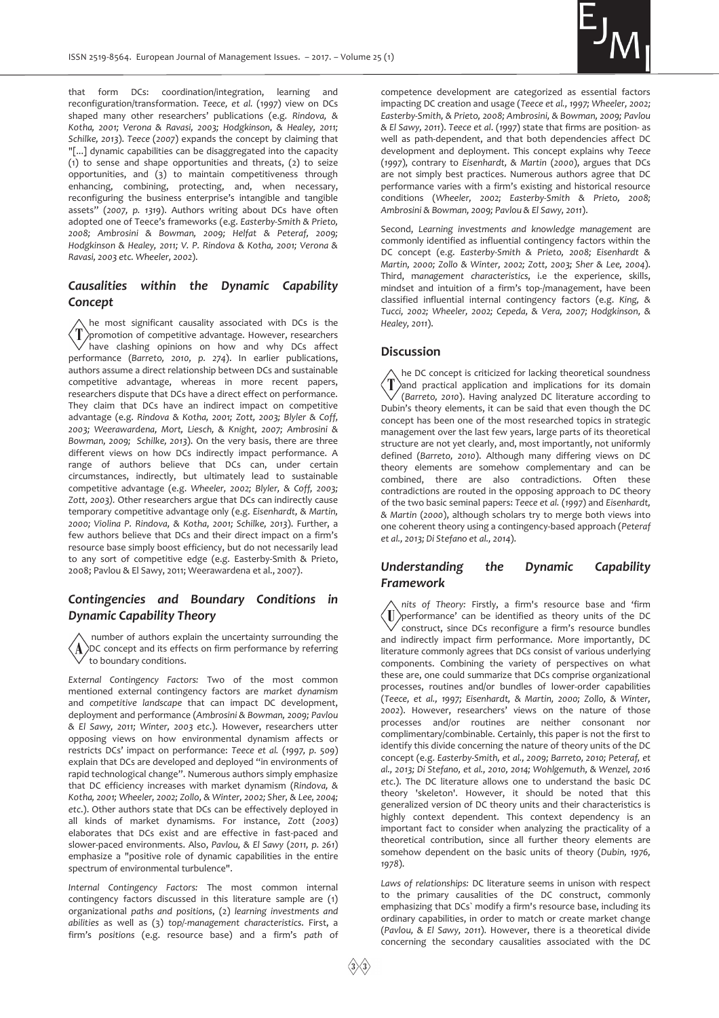

that form DCs: coordination/integration, learning and reconfiguration/transformation. *Teece, et al.* (1*997*) view on DCs shaped many other researchers' publications (e.g. *Rindova, & Kotha, 2001; Verona & Ravasi, 2003; Hodgkinson, & Healey, 2011; Schilke, 2013*). *Teece* (*2007*) expands the concept by claiming that "[...] dynamic capabilities can be disaggregated into the capacity (1) to sense and shape opportunities and threats, (2) to seize opportunities, and (3) to maintain competitiveness through enhancing, combining, protecting, and, when necessary, reconfiguring the business enterprise's intangible and tangible assets" (*2007, p. 1319*). Authors writing about DCs have often adopted one of Teece's frameworks (e.g. *Easterby-Smith & Prieto, 2008; Ambrosini & Bowman, 2009; Helfat & Peteraf, 2009; Hodgkinson & Healey, 2011; V. P. Rindova & Kotha, 2001; Verona & Ravasi, 2003 etc. Wheeler, 2002*).

## *Causalities within the Dynamic Capability Concept*

he most significant causality associated with DCs is the  $\langle T \rangle$ promotion of competitive advantage. However, researchers have clashing opinions on how and why DCs affect performance (*Barreto, 2010, p. 274*). In earlier publications, authors assume a direct relationship between DCs and sustainable competitive advantage, whereas in more recent papers, researchers dispute that DCs have a direct effect on performance. They claim that DCs have an indirect impact on competitive advantage (e.g. *Rindova & Kotha, 2001; Zott, 2003; Blyler & Coff, 2003; Weerawardena, Mort, Liesch, & Knight, 2007; Ambrosini & Bowman, 2009; Schilke, 2013*). On the very basis, there are three different views on how DCs indirectly impact performance. A range of authors believe that DCs can, under certain circumstances, indirectly, but ultimately lead to sustainable competitive advantage (e.g. *Wheeler, 2002; Blyler, & Coff, 2003; Zott, 2003).* Other researchers argue that DCs can indirectly cause temporary competitive advantage only (e.g. *Eisenhardt, & Martin, 2000; Violina P. Rindova, & Kotha, 2001; Schilke, 2013*). Further, a few authors believe that DCs and their direct impact on a firm's resource base simply boost efficiency, but do not necessarily lead to any sort of competitive edge (e.g. Easterby-Smith & Prieto, 2008; Pavlou & El Sawy, 2011; Weerawardena et al., 2007).

## *Contingencies and Boundary Conditions in Dynamic Capability Theory*

 number of authors explain the uncertainty surrounding the  $\langle A \rangle$ DC concept and its effects on firm performance by referring to boundary conditions.

*External Contingency Factors:* Two of the most common mentioned external contingency factors are *market dynamism* and *competitive landscape* that can impact DC development, deployment and performance (*Ambrosini & Bowman, 2009; Pavlou & El Sawy, 2011; Winter, 2003 etc*.). However, researchers utter opposing views on how environmental dynamism affects or restricts DCs' impact on performance: *Teece et al.* (*1997, p. 509*) explain that DCs are developed and deployed "in environments of rapid technological change". Numerous authors simply emphasize that DC efficiency increases with market dynamism (*Rindova, & Kotha, 2001; Wheeler, 2002; Zollo, & Winter, 2002; Sher, & Lee, 2004; etc*.). Other authors state that DCs can be effectively deployed in all kinds of market dynamisms. For instance, *Zott* (*2003*) elaborates that DCs exist and are effective in fast-paced and slower-paced environments. Also, *Pavlou, & El Sawy* (*2011, p. 261*) emphasize a "positive role of dynamic capabilities in the entire spectrum of environmental turbulence".

*Internal Contingency Factors:* The most common internal contingency factors discussed in this literature sample are (1) organizational *paths and positions*, (2) *learning investments and abilities* as well as (3) *top/-management characteristics*. First, a firm's *positions* (e.g. resource base) and a firm's *path* of competence development are categorized as essential factors impacting DC creation and usage (*Teece et al., 1997; Wheeler, 2002; Easterby-Smith, & Prieto, 2008; Ambrosini, & Bowman, 2009; Pavlou & El Sawy, 2011*). *Teece et al*. (*1997*) state that firms are position- as well as path-dependent, and that both dependencies affect DC development and deployment. This concept explains why *Teece*  (*1997*), contrary to *Eisenhardt, & Martin* (*2000*), argues that DCs are not simply best practices. Numerous authors agree that DC performance varies with a firm's existing and historical resource conditions (*Wheeler, 2002; Easterby-Smith & Prieto, 2008; Ambrosini & Bowman, 2009; Pavlou & El Sawy, 2011*).

Second, *Learning investments and knowledge management* are commonly identified as influential contingency factors within the DC concept (e.g. *Easterby-Smith & Prieto, 2008; Eisenhardt & Martin, 2000; Zollo & Winter, 2002; Zott, 2003; Sher & Lee, 2004*). Third, m*anagement characteristics*, i.e the experience, skills, mindset and intuition of a firm's top-/management, have been classified influential internal contingency factors (e.g. *King, & Tucci, 2002; Wheeler, 2002; Cepeda, & Vera, 2007; Hodgkinson, & Healey, 2011*).

#### **Discussion**

he DC concept is criticized for lacking theoretical soundness  $\langle T \rangle$ and practical application and implications for its domain (*Barreto, 2010*). Having analyzed DC literature according to Dubin's theory elements, it can be said that even though the DC concept has been one of the most researched topics in strategic management over the last few years, large parts of its theoretical structure are not yet clearly, and, most importantly, not uniformly defined (*Barreto, 2010*). Although many differing views on DC theory elements are somehow complementary and can be combined, there are also contradictions. Often these contradictions are routed in the opposing approach to DC theory of the two basic seminal papers: *Teece et al.* (*1997*) and *Eisenhardt, & Martin* (*2000*), although scholars try to merge both views into one coherent theory using a contingency-based approach (*Peteraf et al., 2013; Di Stefano et al., 2014*).

## *Understanding the Dynamic Capability Framework*

*nits of Theory:* Firstly, a firm's resource base and 'firm  $\langle \mathrm{I\!I} \rangle$ performance' can be identified as theory units of the DC construct, since DCs reconfigure a firm's resource bundles and indirectly impact firm performance. More importantly, DC literature commonly agrees that DCs consist of various underlying components. Combining the variety of perspectives on what these are, one could summarize that DCs comprise organizational processes, routines and/or bundles of lower-order capabilities (*Teece, et al., 1997; Eisenhardt, & Martin, 2000; Zollo, & Winter, 2002*). However, researchers' views on the nature of those processes and/or routines are neither consonant nor complimentary/combinable. Certainly, this paper is not the first to identify this divide concerning the nature of theory units of the DC concept (e.g. *Easterby-Smith, et al., 2009; Barreto, 2010; Peteraf, et al., 2013; Di Stefano, et al., 2010, 2014; Wohlgemuth, & Wenzel, 2016 etc*.). The DC literature allows one to understand the basic DC theory 'skeleton'. However, it should be noted that this generalized version of DC theory units and their characteristics is highly context dependent. This context dependency is an important fact to consider when analyzing the practicality of a theoretical contribution, since all further theory elements are somehow dependent on the basic units of theory (*Dubin, 1976, 1978*).

*Laws of relationships:* DC literature seems in unison with respect to the primary causalities of the DC construct, commonly emphasizing that DCs` modify a firm's resource base, including its ordinary capabilities, in order to match or create market change (*Pavlou, & El Sawy, 2011*). However, there is a theoretical divide concerning the secondary causalities associated with the DC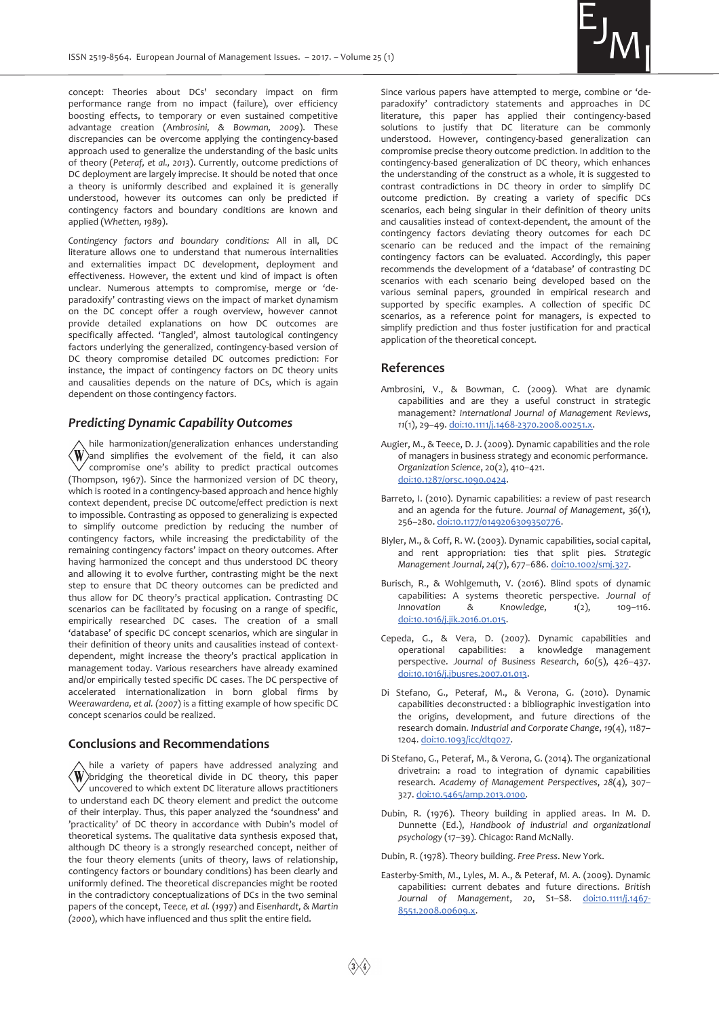

concept: Theories about DCs' secondary impact on firm performance range from no impact (failure), over efficiency boosting effects, to temporary or even sustained competitive advantage creation (*Ambrosini, & Bowman, 2009*). These discrepancies can be overcome applying the contingency-based approach used to generalize the understanding of the basic units of theory (*Peteraf, et al., 2013*). Currently, outcome predictions of DC deployment are largely imprecise. It should be noted that once a theory is uniformly described and explained it is generally understood, however its outcomes can only be predicted if contingency factors and boundary conditions are known and applied (*Whetten, 1989*).

*Contingency factors and boundary conditions:* All in all, DC literature allows one to understand that numerous internalities and externalities impact DC development, deployment and effectiveness. However, the extent und kind of impact is often unclear. Numerous attempts to compromise, merge or 'deparadoxify' contrasting views on the impact of market dynamism on the DC concept offer a rough overview, however cannot provide detailed explanations on how DC outcomes are specifically affected. 'Tangled', almost tautological contingency factors underlying the generalized, contingency-based version of DC theory compromise detailed DC outcomes prediction: For instance, the impact of contingency factors on DC theory units and causalities depends on the nature of DCs, which is again dependent on those contingency factors.

#### *Predicting Dynamic Capability Outcomes*

hile harmonization/generalization enhances understanding  $\langle W \rangle$  and simplifies the evolvement of the field, it can also compromise one's ability to predict practical outcomes (Thompson, 1967). Since the harmonized version of DC theory, which is rooted in a contingency-based approach and hence highly context dependent, precise DC outcome/effect prediction is next to impossible. Contrasting as opposed to generalizing is expected to simplify outcome prediction by reducing the number of contingency factors, while increasing the predictability of the remaining contingency factors' impact on theory outcomes. After having harmonized the concept and thus understood DC theory and allowing it to evolve further, contrasting might be the next step to ensure that DC theory outcomes can be predicted and thus allow for DC theory's practical application. Contrasting DC scenarios can be facilitated by focusing on a range of specific, empirically researched DC cases. The creation of a small 'database' of specific DC concept scenarios, which are singular in their definition of theory units and causalities instead of contextdependent, might increase the theory's practical application in management today. Various researchers have already examined and/or empirically tested specific DC cases. The DC perspective of accelerated internationalization in born global firms by *Weerawardena, et al. (2007*) is a fitting example of how specific DC concept scenarios could be realized.

#### **Conclusions and Recommendations**

hile a variety of papers have addressed analyzing and  $\langle \textbf{W} \rangle$ bridging the theoretical divide in DC theory, this paper  $\sqrt{\ }$  uncovered to which extent DC literature allows practitioners to understand each DC theory element and predict the outcome of their interplay. Thus, this paper analyzed the 'soundness' and 'practicality' of DC theory in accordance with Dubin's model of theoretical systems. The qualitative data synthesis exposed that, although DC theory is a strongly researched concept, neither of the four theory elements (units of theory, laws of relationship, contingency factors or boundary conditions) has been clearly and uniformly defined. The theoretical discrepancies might be rooted in the contradictory conceptualizations of DCs in the two seminal papers of the concept, *Teece, et al.* (*199*7) and *Eisenhardt, & Martin (2000*), which have influenced and thus split the entire field.

Since various papers have attempted to merge, combine or 'deparadoxify' contradictory statements and approaches in DC literature, this paper has applied their contingency-based solutions to justify that DC literature can be commonly understood. However, contingency-based generalization can compromise precise theory outcome prediction. In addition to the contingency-based generalization of DC theory, which enhances the understanding of the construct as a whole, it is suggested to contrast contradictions in DC theory in order to simplify DC outcome prediction. By creating a variety of specific DCs scenarios, each being singular in their definition of theory units and causalities instead of context-dependent, the amount of the contingency factors deviating theory outcomes for each DC scenario can be reduced and the impact of the remaining contingency factors can be evaluated. Accordingly, this paper recommends the development of a 'database' of contrasting DC scenarios with each scenario being developed based on the various seminal papers, grounded in empirical research and supported by specific examples. A collection of specific DC scenarios, as a reference point for managers, is expected to simplify prediction and thus foster justification for and practical application of the theoretical concept.

#### **References**

- Ambrosini, V., & Bowman, C. (2009). What are dynamic capabilities and are they a useful construct in strategic management? *International Journal of Management Reviews*, *11*(1), 29–49. doi:10.1111/j.1468-2370.2008.00251.x.
- Augier, M., & Teece, D. J. (2009). Dynamic capabilities and the role of managers in business strategy and economic performance. *Organization Science*, 20(2), 410–421. doi:10.1287/orsc.1090.0424.
- Barreto, I. (2010). Dynamic capabilities: a review of past research and an agenda for the future. *Journal of Management*, *36*(1), 256–280. doi:10.1177/0149206309350776.
- Blyler, M., & Coff, R. W. (2003). Dynamic capabilities, social capital, and rent appropriation: ties that split pies. *Strategic Management Journal*, *24*(7), 677–686. doi:10.1002/smj.327.
- Burisch, R., & Wohlgemuth, V. (2016). Blind spots of dynamic capabilities: A systems theoretic perspective. *Journal of Innovation & Knowledge*, *1*(2), 109–116. doi:10.1016/j.jik.2016.01.015.
- Cepeda, G., & Vera, D. (2007). Dynamic capabilities and operational capabilities: a knowledge management perspective. *Journal of Business Research*, *60*(5), 426–437. doi:10.1016/j.jbusres.2007.01.013.
- Di Stefano, G., Peteraf, M., & Verona, G. (2010). Dynamic capabilities deconstructed : a bibliographic investigation into the origins, development, and future directions of the research domain. *Industrial and Corporate Change*, *19*(4), 1187– 1204. doi:10.1093/icc/dtq027.
- Di Stefano, G., Peteraf, M., & Verona, G. (2014). The organizational drivetrain: a road to integration of dynamic capabilities research. *Academy of Management Perspectives*, *28*(4), 307– 327. doi:10.5465/amp.2013.0100.
- Dubin, R. (1976). Theory building in applied areas. In M. D. Dunnette (Ed.), *Handbook of industrial and organizational psychology* (17–39). Chicago: Rand McNally.
- Dubin, R. (1978). Theory building. *Free Press*. New York.
- Easterby-Smith, M., Lyles, M. A., & Peteraf, M. A. (2009). Dynamic capabilities: current debates and future directions. *British Journal of Management*, *20*, S1–S8. doi:10.1111/j.1467- 8551.2008.00609.x.